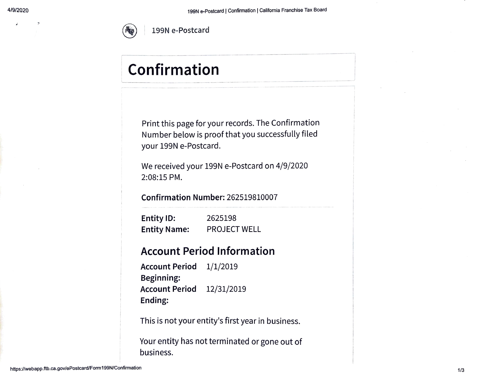

# Confirmation

Print this page for your records. The Confirmation Number below is proof that you successfully filed your 199N e-Postcard.

We received your 199N e-Postcard on 4/9/2020 2:08:15 PM.

Confirmation Number: 262519810007

Entity ID: Entity Name: 2625198 PROJECT WELL

#### Account Period Information

Account Period 1/1/2019 Beginning: Account Period 12/31/2019 Ending

This is not your entity's first year in business.

Your entity has not terminated or gone out of business.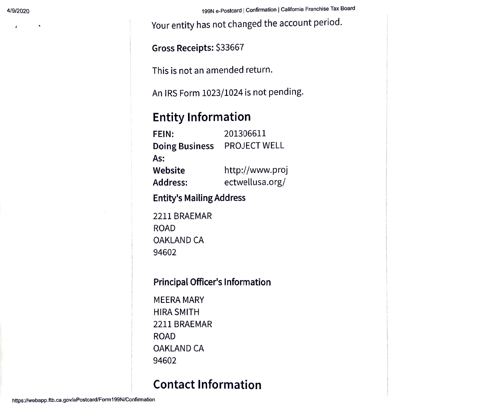$\mathbf{z}$ 

4/9/2020 199N e-Postcard | Confirmation | California Franchise Tax Board

Your entity has not changed the account period.

Gross Receipts: \$33667

This is not an amended return.

An IRS Form 1023/1024 is not pending.

### Entity Information

FEIN: 201306611 Doing Business PROJECT WELL As: http://www.proj ectwellusa.org/ Website Address:

Entity's Mailing Address

2211 BRAEMAR ROAD OAKLAND CA 94602

#### Principal Officer's Information

MEERA MARY HIRA SMITH 2211 BRAEMAR ROAD OAKLAND CA 94602

## Contact Information